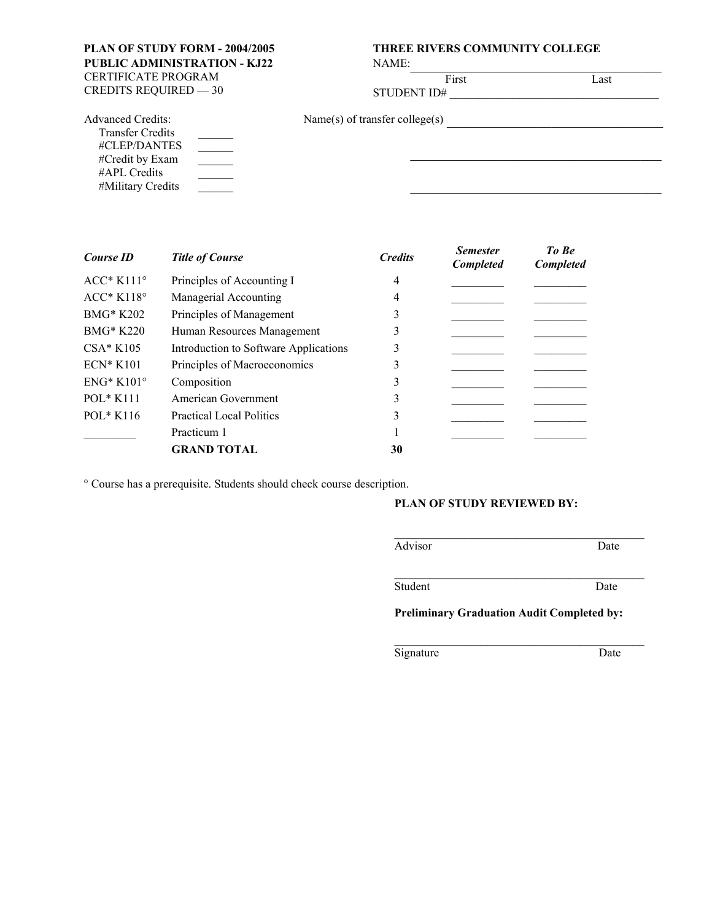**PUBLIC ADMINISTRATION - KJ22**  CERTIFICATE PROGRAM<br>CREDITS REQUIRED — 30

# **PLAN OF STUDY FORM - 2004/2005 THREE RIVERS COMMUNITY COLLEGE**

NAME:

CREDITS REQUIRED — 30 STUDENT ID# \_\_\_\_\_\_\_\_\_\_\_\_\_\_\_\_\_\_\_\_\_\_\_\_\_\_\_\_\_\_\_\_\_\_\_\_

First Last

| <b>Advanced Credits:</b> | Name(s) of transfer college(s) |  |
|--------------------------|--------------------------------|--|
| <b>Transfer Credits</b>  |                                |  |
| #CLEP/DANTES             |                                |  |
| #Credit by Exam          |                                |  |
| #APL Credits             |                                |  |
| #Military Credits        |                                |  |

| Course ID          | <b>Title of Course</b>                | <b>Credits</b> | <b>Semester</b><br>Completed | To Be<br><b>Completed</b> |
|--------------------|---------------------------------------|----------------|------------------------------|---------------------------|
| $ACC*K111°$        | Principles of Accounting I            | 4              |                              |                           |
| $ACC*K118°$        | Managerial Accounting                 | 4              |                              |                           |
| <b>BMG* K202</b>   | Principles of Management              | 3              |                              |                           |
| <b>BMG* K220</b>   | Human Resources Management            | 3              |                              |                           |
| $CSA*K105$         | Introduction to Software Applications | 3              |                              |                           |
| $ECN*K101$         | Principles of Macroeconomics          | 3              |                              |                           |
| $ENG*K101^{\circ}$ | Composition                           | 3              |                              |                           |
| $POL*K111$         | American Government                   | 3              |                              |                           |
| $POL*K116$         | <b>Practical Local Politics</b>       | 3              |                              |                           |
|                    | Practicum 1                           |                |                              |                           |
|                    | <b>GRAND TOTAL</b>                    | 30             |                              |                           |

° Course has a prerequisite. Students should check course description.

#### **PLAN OF STUDY REVIEWED BY:**

AdvisorDate

 $\mathcal{L}_\text{max}$  and the contract of the contract of the contract of the contract of the contract of the contract of the contract of the contract of the contract of the contract of the contract of the contract of the contrac

\_\_\_\_\_\_\_\_\_\_\_\_\_\_\_\_\_\_\_\_\_\_\_\_\_\_\_\_\_\_\_\_\_\_\_\_\_\_\_\_\_\_\_

Student Date

**Preliminary Graduation Audit Completed by:**

Signature Date